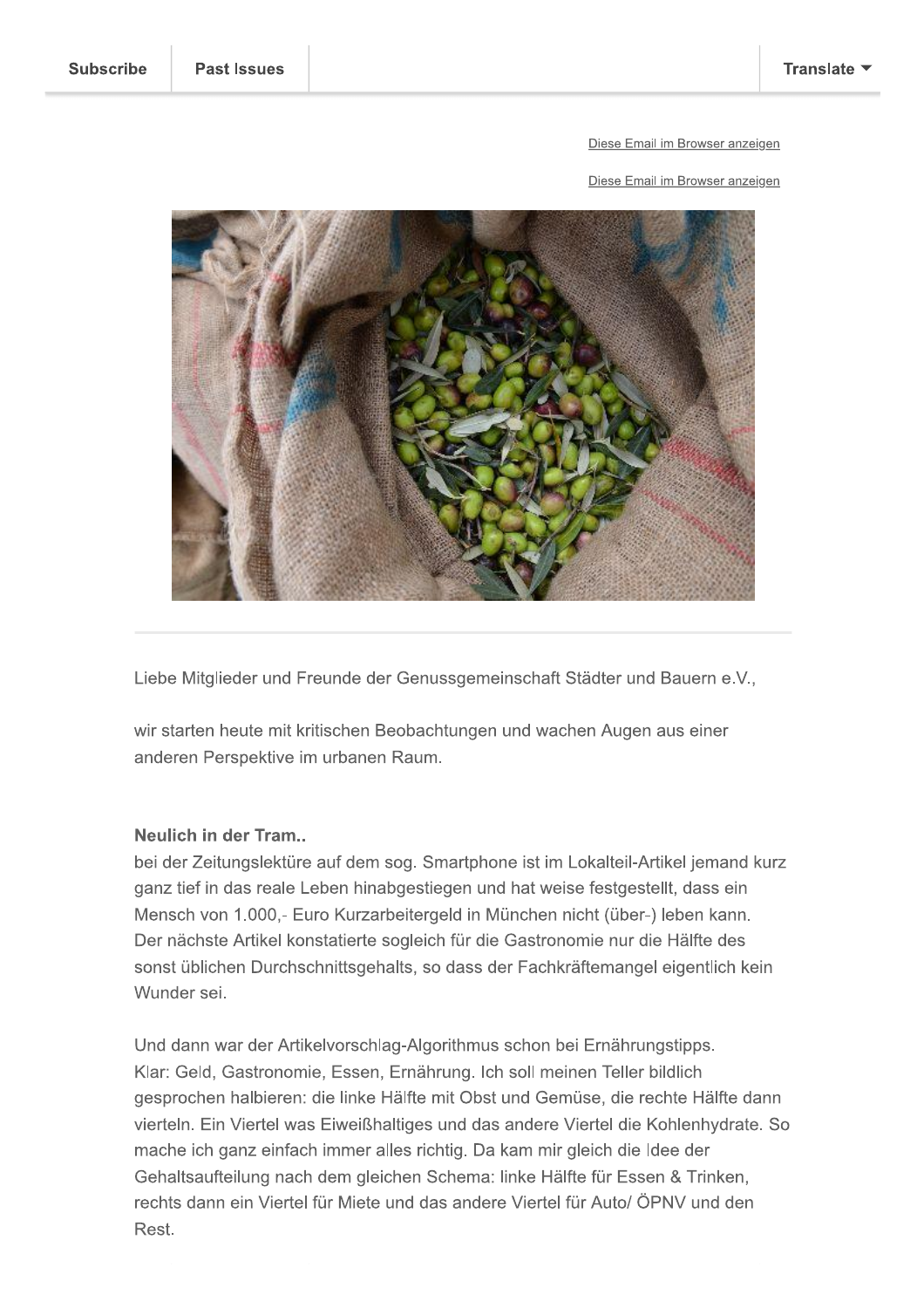#### Diese Email im Browser anzeigen

Diese Email im Browser anzeigen



Liebe Mitglieder und Freunde der Genussgemeinschaft Städter und Bauern e.V.,

wir starten heute mit kritischen Beobachtungen und wachen Augen aus einer anderen Perspektive im urbanen Raum.

### Neulich in der Tram..

bei der Zeitungslektüre auf dem sog. Smartphone ist im Lokalteil-Artikel jemand kurz ganz tief in das reale Leben hinabgestiegen und hat weise festgestellt, dass ein Mensch von 1.000,- Euro Kurzarbeitergeld in München nicht (über-) leben kann. Der nächste Artikel konstatierte sogleich für die Gastronomie nur die Hälfte des sonst üblichen Durchschnittsgehalts, so dass der Fachkräftemangel eigentlich kein Wunder sei.

Und dann war der Artikelvorschlag-Algorithmus schon bei Ernährungstipps. Klar: Geld, Gastronomie, Essen, Ernährung. Ich soll meinen Teller bildlich gesprochen halbieren: die linke Hälfte mit Obst und Gemüse, die rechte Hälfte dann vierteln. Ein Viertel was Eiweißhaltiges und das andere Viertel die Kohlenhydrate. So mache ich ganz einfach immer alles richtig. Da kam mir gleich die Idee der Gehaltsaufteilung nach dem gleichen Schema: linke Hälfte für Essen & Trinken, rechts dann ein Viertel für Miete und das andere Viertel für Auto/ ÖPNV und den Rest.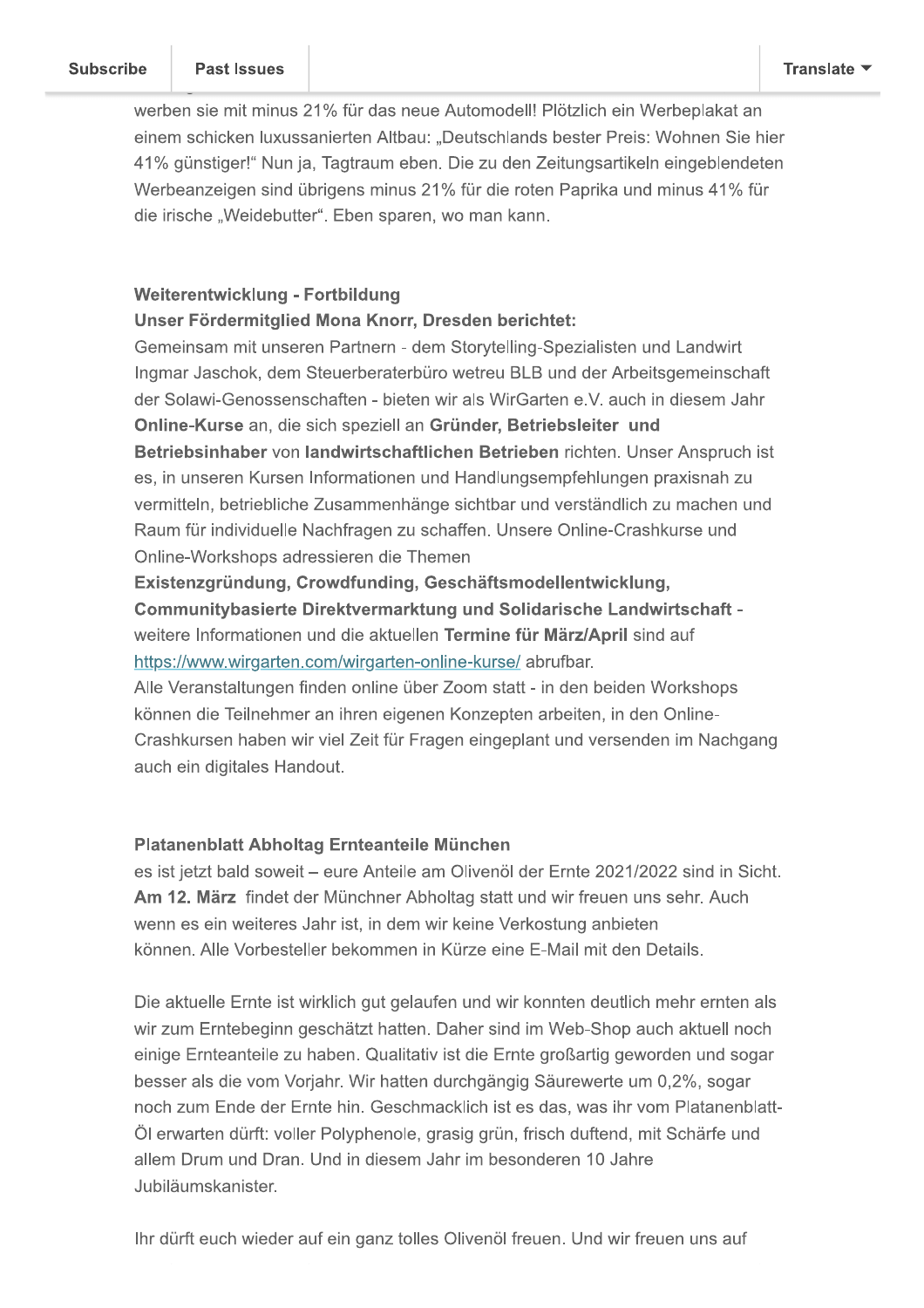werben sie mit minus 21% für das neue Automodell! Plötzlich ein Werbeplakat an einem schicken luxussanierten Altbau: "Deutschlands bester Preis: Wohnen Sie hier 41% günstiger!" Nun ja, Tagtraum eben. Die zu den Zeitungsartikeln eingeblendeten Werbeanzeigen sind übrigens minus 21% für die roten Paprika und minus 41% für die irische "Weidebutter". Eben sparen, wo man kann.

## Weiterentwicklung - Fortbildung

### Unser Fördermitglied Mona Knorr, Dresden berichtet:

Gemeinsam mit unseren Partnern - dem Storytelling-Spezialisten und Landwirt Ingmar Jaschok, dem Steuerberaterbüro wetreu BLB und der Arbeitsgemeinschaft der Solawi-Genossenschaften - bieten wir als WirGarten e.V. auch in diesem Jahr Online-Kurse an, die sich speziell an Gründer, Betriebsleiter und Betriebsinhaber von landwirtschaftlichen Betrieben richten. Unser Anspruch ist es, in unseren Kursen Informationen und Handlungsempfehlungen praxisnah zu vermitteln, betriebliche Zusammenhänge sichtbar und verständlich zu machen und Raum für individuelle Nachfragen zu schaffen. Unsere Online-Crashkurse und Online-Workshops adressieren die Themen

Existenzgründung, Crowdfunding, Geschäftsmodellentwicklung, Communitybasierte Direktvermarktung und Solidarische Landwirtschaft weitere Informationen und die aktuellen Termine für März/April sind auf https://www.wirgarten.com/wirgarten-online-kurse/abrufbar.

Alle Veranstaltungen finden online über Zoom statt - in den beiden Workshops können die Teilnehmer an ihren eigenen Konzepten arbeiten, in den Online-Crashkursen haben wir viel Zeit für Fragen eingeplant und versenden im Nachgang auch ein digitales Handout.

# Platanenblatt Abholtag Ernteanteile München

es ist jetzt bald soweit - eure Anteile am Olivenöl der Ernte 2021/2022 sind in Sicht. Am 12. März findet der Münchner Abholtag statt und wir freuen uns sehr. Auch wenn es ein weiteres Jahr ist, in dem wir keine Verkostung anbieten können. Alle Vorbesteller bekommen in Kürze eine E-Mail mit den Details.

Die aktuelle Ernte ist wirklich gut gelaufen und wir konnten deutlich mehr ernten als wir zum Erntebeginn geschätzt hatten. Daher sind im Web-Shop auch aktuell noch einige Ernteanteile zu haben. Qualitativ ist die Ernte großartig geworden und sogar besser als die vom Vorjahr. Wir hatten durchgängig Säurewerte um 0,2%, sogar noch zum Ende der Ernte hin. Geschmacklich ist es das, was ihr vom Platanenblatt-Öl erwarten dürft: voller Polyphenole, grasig grün, frisch duftend, mit Schärfe und allem Drum und Dran. Und in diesem Jahr im besonderen 10 Jahre Jubiläumskanister.

Ihr dürft euch wieder auf ein ganz tolles Olivenöl freuen. Und wir freuen uns auf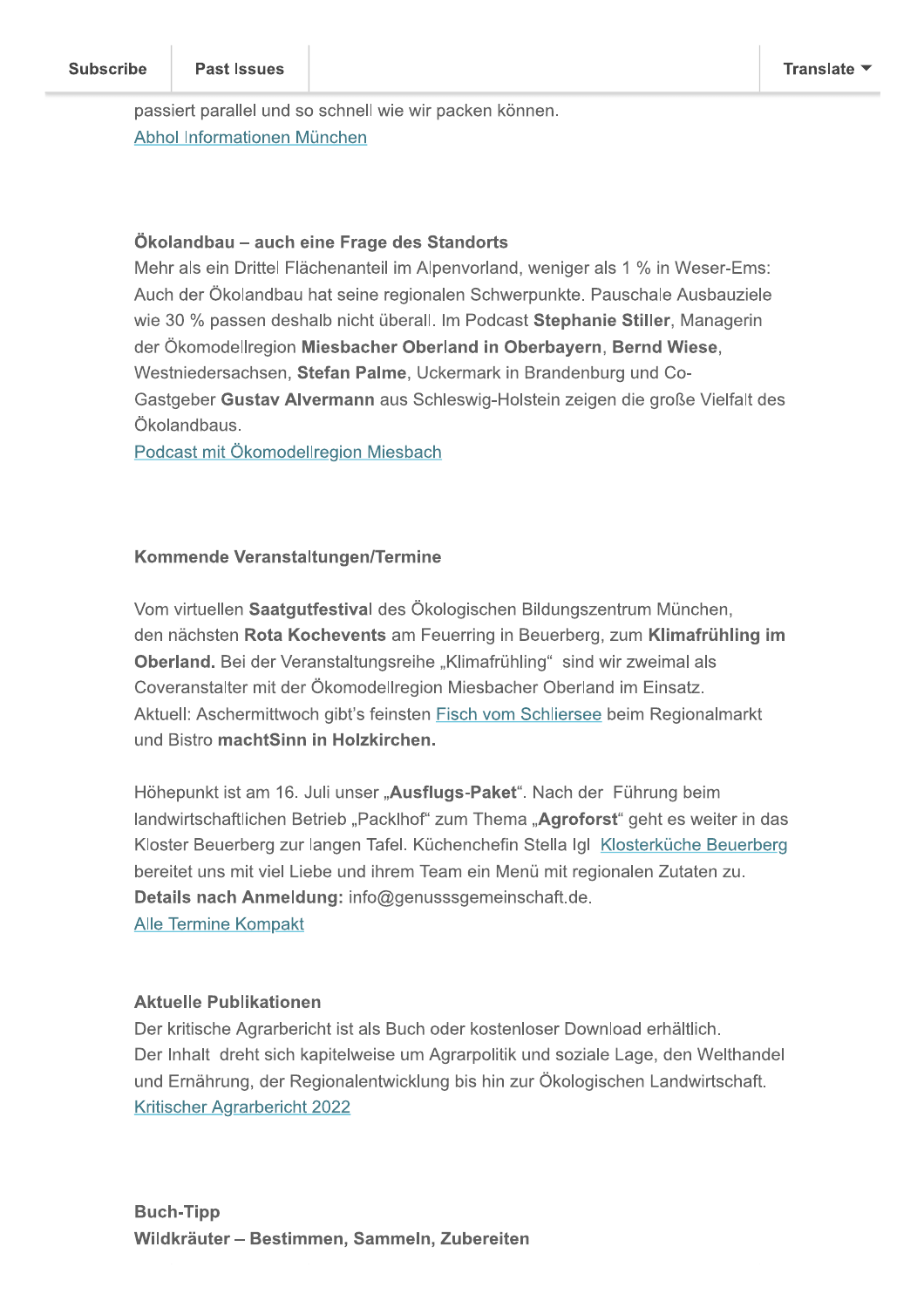passiert parallel und so schnell wie wir packen können. Abhol Informationen München

### Ökolandbau - auch eine Frage des Standorts

Mehr als ein Drittel Flächenanteil im Alpenvorland, weniger als 1 % in Weser-Ems: Auch der Ökolandbau hat seine regionalen Schwerpunkte. Pauschale Ausbauziele wie 30 % passen deshalb nicht überall. Im Podcast Stephanie Stiller, Managerin der Ökomodellregion Miesbacher Oberland in Oberbayern, Bernd Wiese, Westniedersachsen, Stefan Palme, Uckermark in Brandenburg und Co-Gastgeber Gustav Alvermann aus Schleswig-Holstein zeigen die große Vielfalt des Ökolandbaus.

Podcast mit Ökomodellregion Miesbach

### Kommende Veranstaltungen/Termine

Vom virtuellen Saatqutfestival des Ökologischen Bildungszentrum München. den nächsten Rota Kochevents am Feuerring in Beuerberg, zum Klimafrühling im Oberland. Bei der Veranstaltungsreihe "Klimafrühling" sind wir zweimal als Coveranstalter mit der Ökomodellregion Miesbacher Oberland im Einsatz. Aktuell: Aschermittwoch gibt's feinsten Fisch vom Schliersee beim Regionalmarkt und Bistro machtSinn in Holzkirchen.

Höhepunkt ist am 16. Juli unser "Ausflugs-Paket". Nach der Führung beim landwirtschaftlichen Betrieb "Packlhof" zum Thema "Agroforst" geht es weiter in das Kloster Beuerberg zur langen Tafel. Küchenchefin Stella Igl Klosterküche Beuerberg bereitet uns mit viel Liebe und ihrem Team ein Menü mit regionalen Zutaten zu. Details nach Anmeldung: info@genusssgemeinschaft.de. **Alle Termine Kompakt** 

### **Aktuelle Publikationen**

Der kritische Agrarbericht ist als Buch oder kostenloser Download erhältlich. Der Inhalt dreht sich kapitelweise um Agrarpolitik und soziale Lage, den Welthandel und Ernährung, der Regionalentwicklung bis hin zur Ökologischen Landwirtschaft. **Kritischer Agrarbericht 2022**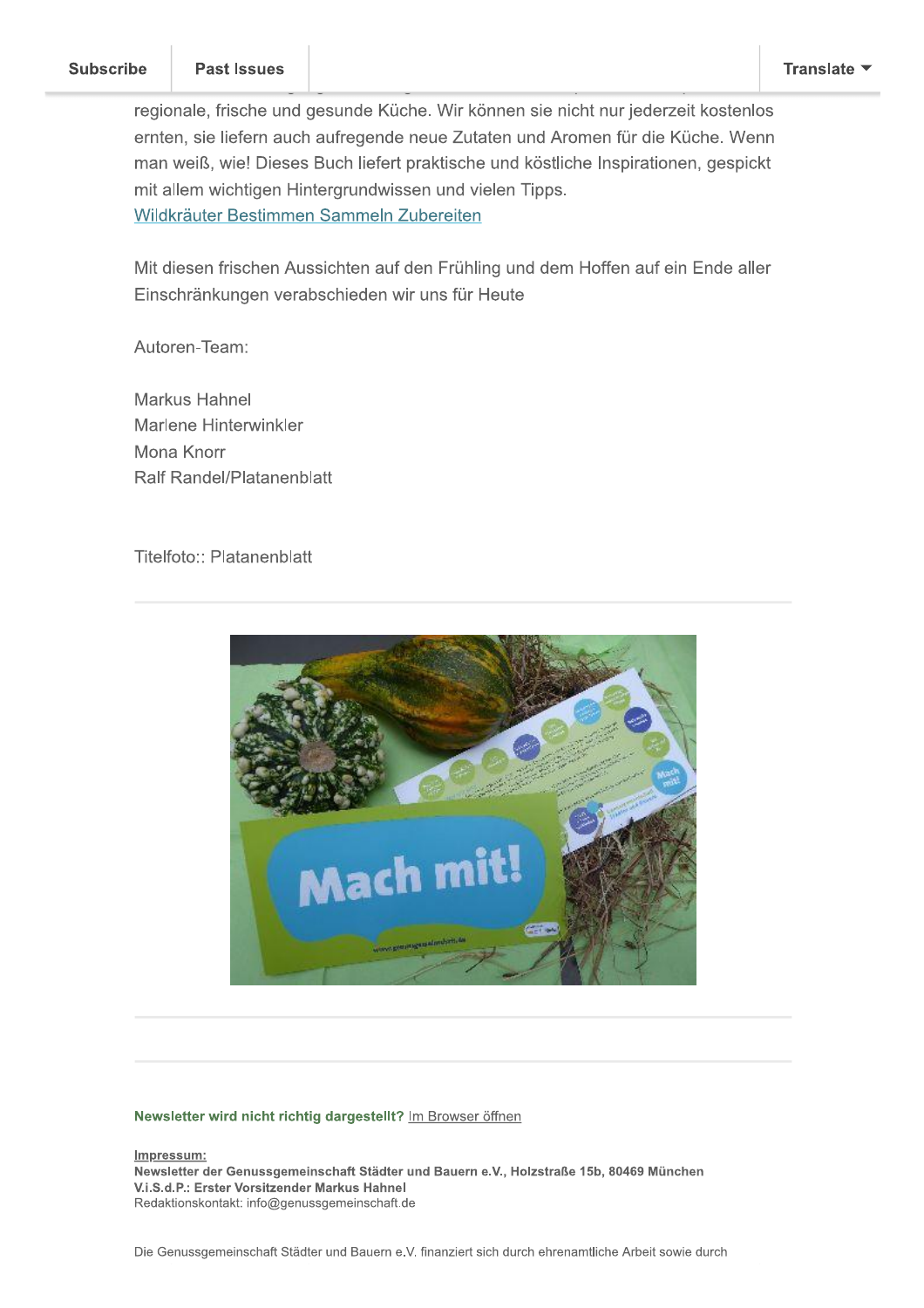a ka

-

regionale, frische und gesunde Küche. Wir können sie nicht nur jederzeit kostenlos ernten, sie liefern auch aufregende neue Zutaten und Aromen für die Küche, Wenn man weiß, wie! Dieses Buch liefert praktische und köstliche Inspirationen, gespickt Subscribe<br>
Past Issues<br>
regionale, frische und gesunde<br>
ernten, sie liefern auch aufrege<br>
man weiß, wie! Dieses Buch lie<br>
mit allem wichtigen Hintergrund<br>
Wildkräuter Bestimmen Samme<br>
Mit diesen frischen Aussichten<br>
Einsch mit allem wichtigen Hintergrundwissen und vielen Tipps. Wildkräuter Bestimmen Sammeln Zubereiten

Mit diesen frischen Aussichten auf den Frühling und dem Hoffen auf ein Ende aller Einschränkungen verabschieden wir uns für Heute

autoren-Team:<br>Autoren-Team:

Markus Hahnel<br>Markus Hahnel Marlene Hinterwinkler Mona Knorr Ralf Randel/Platanenblatt

Titelfoto:: Platanenblatt



#### Newsletter wird nicht richtig dargestellt? Im Browser öffnen

Impressum:

Newsletter der Genussgemeinschaft Städter und Bauern e.V., Holzstraße 15b, 80469 München V.i.S.d.P.: Erster Vorsitzender Markus Hahnel Redaktionskontakt: info@genussgemeinschaft.de